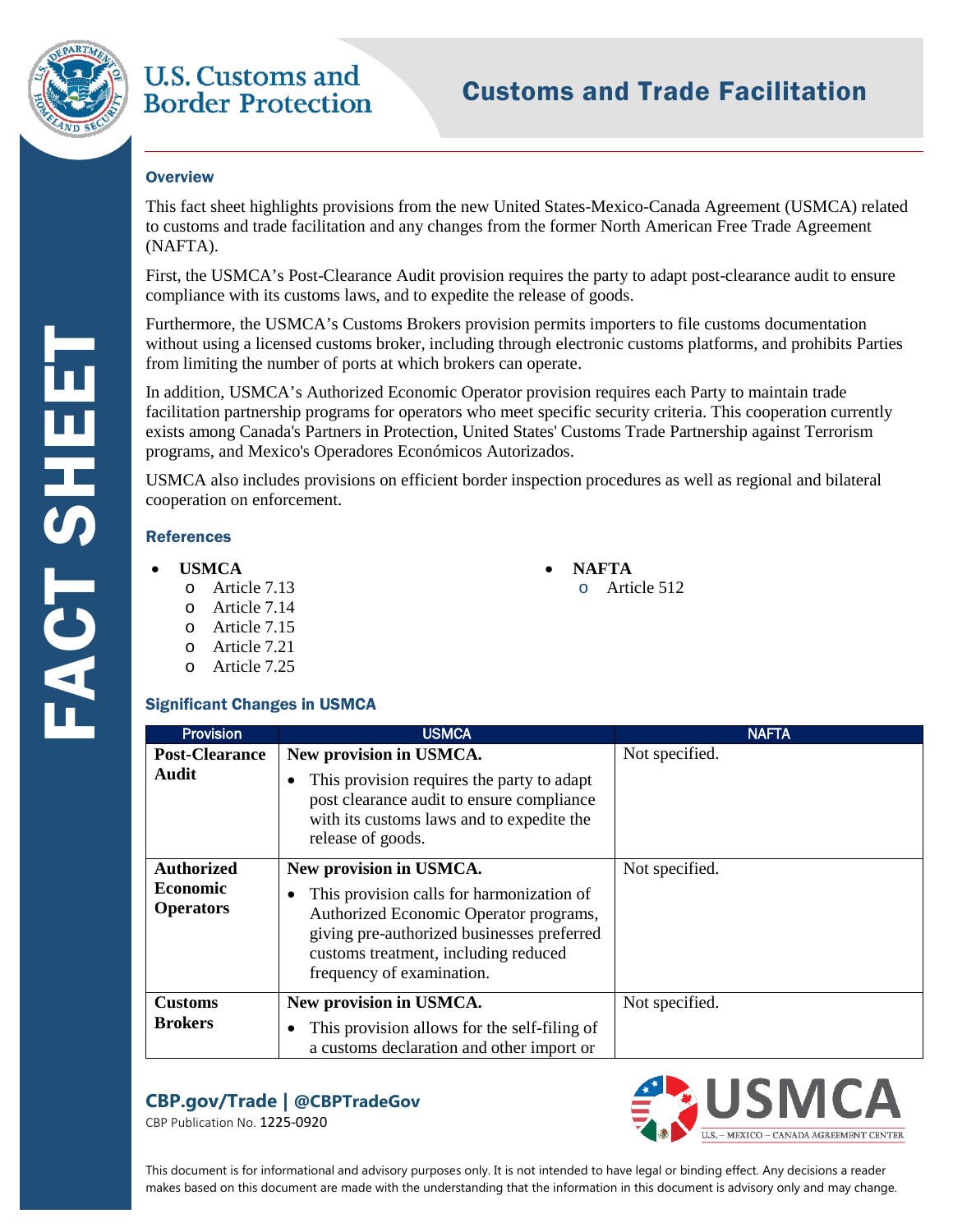

## **U.S. Customs and Border Protection**

# Customs and Trade Facilitation

#### **O**verview

This fact sheet highlights provisions from the new United States-Mexico-Canada Agreement (USMCA) related to customs and trade facilitation and any changes from the former North American Free Trade Agreement (NAFTA).

First, the USMCA's Post-Clearance Audit provision requires the party to adapt post-clearance audit to ensure compliance with its customs laws, and to expedite the release of goods.

Furthermore, the USMCA's Customs Brokers provision permits importers to file customs documentation without using a licensed customs broker, including through electronic customs platforms, and prohibits Parties from limiting the number of ports at which brokers can operate.

In addition, USMCA's Authorized Economic Operator provision requires each Party to maintain trade facilitation partnership programs for operators who meet specific security criteria. This cooperation currently exists among Canada's Partners in Protection, United States' Customs Trade Partnership against Terrorism programs, and Mexico's Operadores Económicos Autorizados.

USMCA also includes provisions on efficient border inspection procedures as well as regional and bilateral cooperation on enforcement.

#### **References**

- **USMCA NAFTA** 
	- o Article 7.13 o Article 512
	- o Article 7.14
	- o Article 7.15
	- o Article 7.21
	- o Article 7.25

#### Significant Changes in USMCA

**Provision Post-Clearance Audit USMCA New provision in USMCA.**  • This provision requires the party to adapt post clearance audit to ensure compliance with its customs laws and to expedite the release of goods. NAFTA Not specified. **Authorized Economic Operators New provision in USMCA.**  • This provision calls for harmonization of Authorized Economic Operator programs, giving pre-authorized businesses preferred customs treatment, including reduced frequency of examination. Not specified. **Customs Brokers New provision in USMCA.**  • This provision allows for the self-filing of a customs declaration and other import or Not specified.

## **CBP.gov/Trade | @CBPTradeGov**

CBP Publication No. 1225-0920



This document is for informational and advisory purposes only. It is not intended to have legal or binding effect. Any decisions a reader makes based on this document are made with the understanding that the information in this document is advisory only and may change.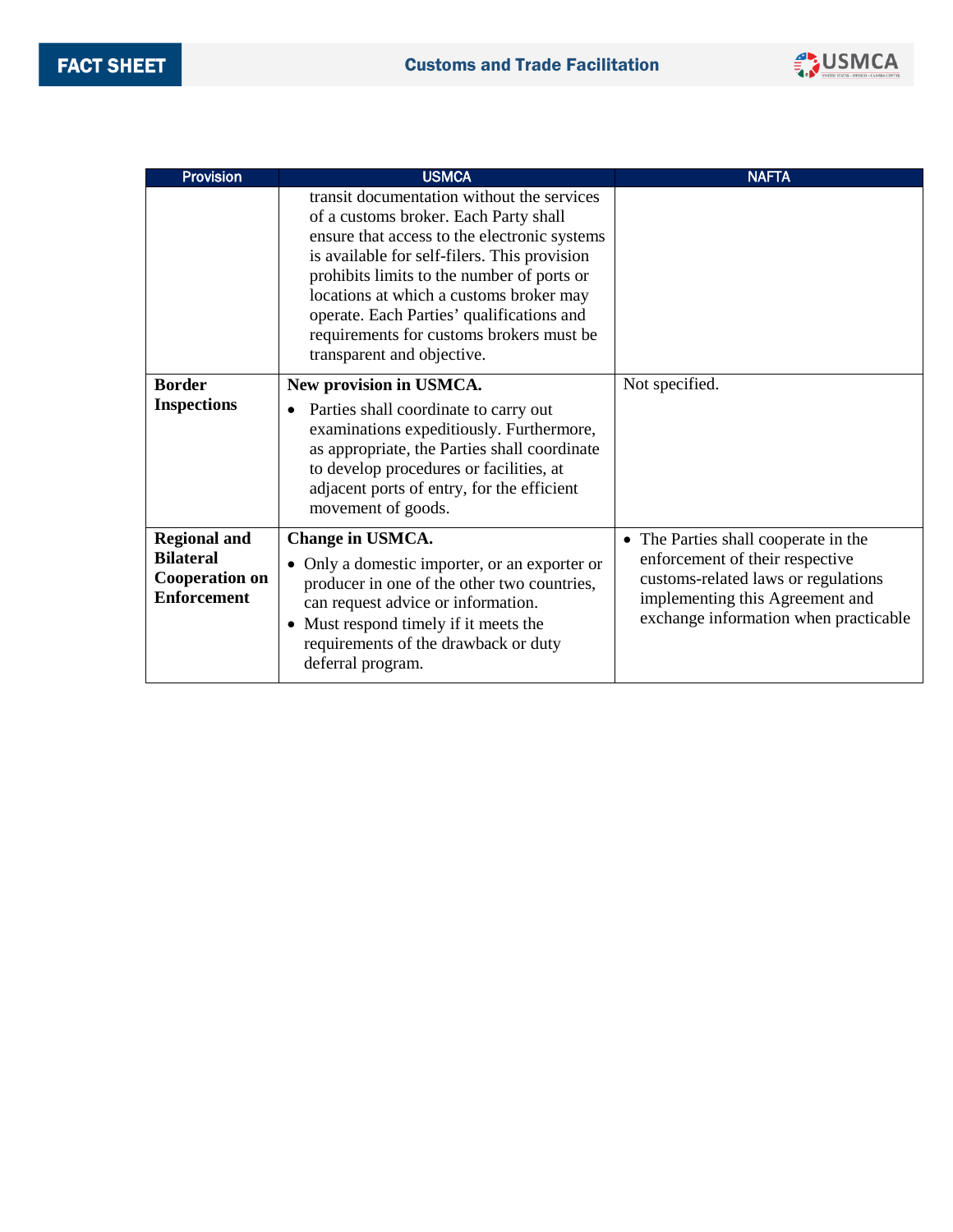

| <b>Provision</b>                                                                       | <b>USMCA</b>                                                                                                                                                                                                                                                                                                                                                                                        | <b>NAFTA</b>                                                                                                                                                                               |
|----------------------------------------------------------------------------------------|-----------------------------------------------------------------------------------------------------------------------------------------------------------------------------------------------------------------------------------------------------------------------------------------------------------------------------------------------------------------------------------------------------|--------------------------------------------------------------------------------------------------------------------------------------------------------------------------------------------|
|                                                                                        | transit documentation without the services<br>of a customs broker. Each Party shall<br>ensure that access to the electronic systems<br>is available for self-filers. This provision<br>prohibits limits to the number of ports or<br>locations at which a customs broker may<br>operate. Each Parties' qualifications and<br>requirements for customs brokers must be<br>transparent and objective. |                                                                                                                                                                                            |
| <b>Border</b><br><b>Inspections</b>                                                    | New provision in USMCA.<br>Parties shall coordinate to carry out<br>$\bullet$<br>examinations expeditiously. Furthermore,<br>as appropriate, the Parties shall coordinate<br>to develop procedures or facilities, at<br>adjacent ports of entry, for the efficient<br>movement of goods.                                                                                                            | Not specified.                                                                                                                                                                             |
| <b>Regional and</b><br><b>Bilateral</b><br><b>Cooperation on</b><br><b>Enforcement</b> | Change in USMCA.<br>• Only a domestic importer, or an exporter or<br>producer in one of the other two countries,<br>can request advice or information.<br>• Must respond timely if it meets the<br>requirements of the drawback or duty<br>deferral program.                                                                                                                                        | • The Parties shall cooperate in the<br>enforcement of their respective<br>customs-related laws or regulations<br>implementing this Agreement and<br>exchange information when practicable |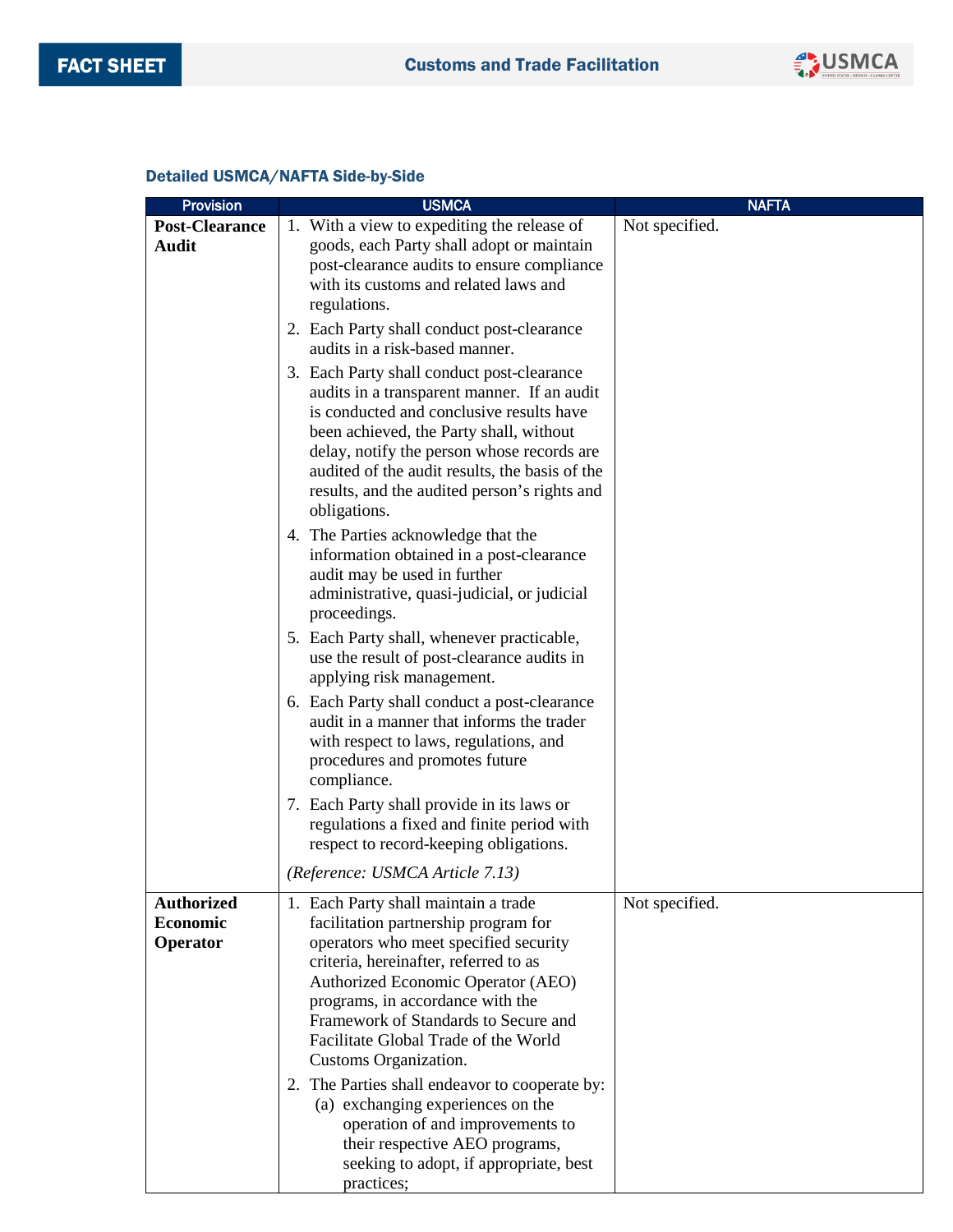

### Detailed USMCA/NAFTA Side-by-Side

| <b>Provision</b>                          | <b>USMCA</b>                                                                                                                                                                                                                                                                                                                                      | <b>NAFTA</b>   |
|-------------------------------------------|---------------------------------------------------------------------------------------------------------------------------------------------------------------------------------------------------------------------------------------------------------------------------------------------------------------------------------------------------|----------------|
| <b>Post-Clearance</b><br><b>Audit</b>     | 1. With a view to expediting the release of<br>goods, each Party shall adopt or maintain<br>post-clearance audits to ensure compliance<br>with its customs and related laws and                                                                                                                                                                   | Not specified. |
|                                           | regulations.<br>2. Each Party shall conduct post-clearance<br>audits in a risk-based manner.                                                                                                                                                                                                                                                      |                |
|                                           | 3. Each Party shall conduct post-clearance<br>audits in a transparent manner. If an audit<br>is conducted and conclusive results have<br>been achieved, the Party shall, without<br>delay, notify the person whose records are<br>audited of the audit results, the basis of the<br>results, and the audited person's rights and<br>obligations.  |                |
|                                           | 4. The Parties acknowledge that the<br>information obtained in a post-clearance<br>audit may be used in further<br>administrative, quasi-judicial, or judicial<br>proceedings.                                                                                                                                                                    |                |
|                                           | 5. Each Party shall, whenever practicable,<br>use the result of post-clearance audits in<br>applying risk management.                                                                                                                                                                                                                             |                |
|                                           | 6. Each Party shall conduct a post-clearance<br>audit in a manner that informs the trader<br>with respect to laws, regulations, and<br>procedures and promotes future<br>compliance.                                                                                                                                                              |                |
|                                           | 7. Each Party shall provide in its laws or<br>regulations a fixed and finite period with<br>respect to record-keeping obligations.                                                                                                                                                                                                                |                |
|                                           | (Reference: USMCA Article 7.13)                                                                                                                                                                                                                                                                                                                   |                |
| <b>Authorized</b><br>Economic<br>Operator | 1. Each Party shall maintain a trade<br>facilitation partnership program for<br>operators who meet specified security<br>criteria, hereinafter, referred to as<br>Authorized Economic Operator (AEO)<br>programs, in accordance with the<br>Framework of Standards to Secure and<br>Facilitate Global Trade of the World<br>Customs Organization. | Not specified. |
|                                           | 2. The Parties shall endeavor to cooperate by:<br>(a) exchanging experiences on the<br>operation of and improvements to<br>their respective AEO programs,<br>seeking to adopt, if appropriate, best<br>practices;                                                                                                                                 |                |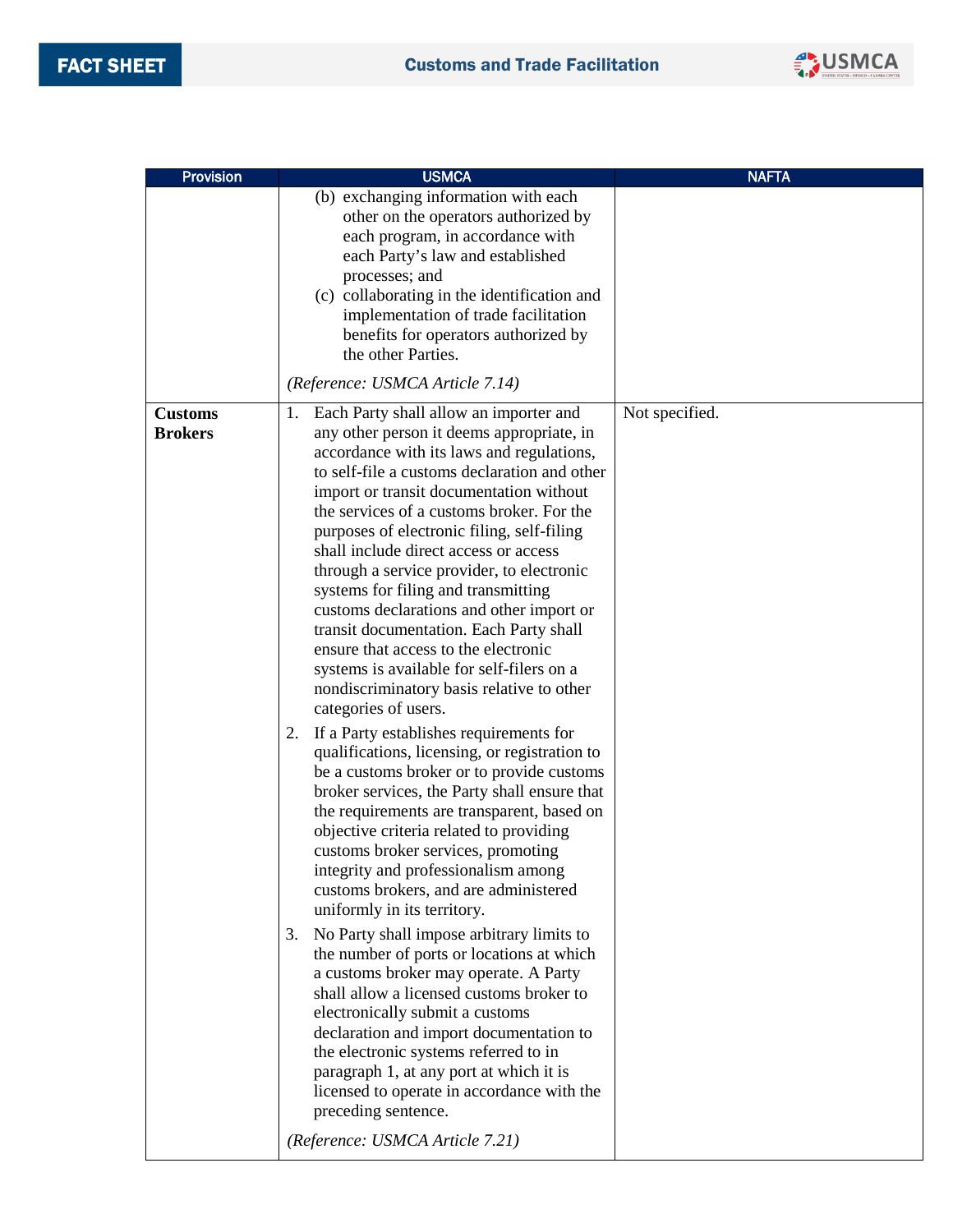

| <b>Provision</b>                 | <b>USMCA</b>                                                                                                                                                                                                                                                                                                                                                                                                                                                                                                                                                                                                                                                                                                                                                                                                                                                                                                                                                                                                                                                                                                                                                                                                                                                                                                                                                                                                                                                                                                                                                                  | <b>NAFTA</b>   |
|----------------------------------|-------------------------------------------------------------------------------------------------------------------------------------------------------------------------------------------------------------------------------------------------------------------------------------------------------------------------------------------------------------------------------------------------------------------------------------------------------------------------------------------------------------------------------------------------------------------------------------------------------------------------------------------------------------------------------------------------------------------------------------------------------------------------------------------------------------------------------------------------------------------------------------------------------------------------------------------------------------------------------------------------------------------------------------------------------------------------------------------------------------------------------------------------------------------------------------------------------------------------------------------------------------------------------------------------------------------------------------------------------------------------------------------------------------------------------------------------------------------------------------------------------------------------------------------------------------------------------|----------------|
|                                  | (b) exchanging information with each<br>other on the operators authorized by<br>each program, in accordance with<br>each Party's law and established<br>processes; and<br>(c) collaborating in the identification and<br>implementation of trade facilitation<br>benefits for operators authorized by<br>the other Parties.                                                                                                                                                                                                                                                                                                                                                                                                                                                                                                                                                                                                                                                                                                                                                                                                                                                                                                                                                                                                                                                                                                                                                                                                                                                   |                |
|                                  | (Reference: USMCA Article 7.14)                                                                                                                                                                                                                                                                                                                                                                                                                                                                                                                                                                                                                                                                                                                                                                                                                                                                                                                                                                                                                                                                                                                                                                                                                                                                                                                                                                                                                                                                                                                                               |                |
| <b>Customs</b><br><b>Brokers</b> | 1. Each Party shall allow an importer and<br>any other person it deems appropriate, in<br>accordance with its laws and regulations,<br>to self-file a customs declaration and other<br>import or transit documentation without<br>the services of a customs broker. For the<br>purposes of electronic filing, self-filing<br>shall include direct access or access<br>through a service provider, to electronic<br>systems for filing and transmitting<br>customs declarations and other import or<br>transit documentation. Each Party shall<br>ensure that access to the electronic<br>systems is available for self-filers on a<br>nondiscriminatory basis relative to other<br>categories of users.<br>2. If a Party establishes requirements for<br>qualifications, licensing, or registration to<br>be a customs broker or to provide customs<br>broker services, the Party shall ensure that<br>the requirements are transparent, based on<br>objective criteria related to providing<br>customs broker services, promoting<br>integrity and professionalism among<br>customs brokers, and are administered<br>uniformly in its territory.<br>No Party shall impose arbitrary limits to<br>3.<br>the number of ports or locations at which<br>a customs broker may operate. A Party<br>shall allow a licensed customs broker to<br>electronically submit a customs<br>declaration and import documentation to<br>the electronic systems referred to in<br>paragraph 1, at any port at which it is<br>licensed to operate in accordance with the<br>preceding sentence. | Not specified. |
|                                  | (Reference: USMCA Article 7.21)                                                                                                                                                                                                                                                                                                                                                                                                                                                                                                                                                                                                                                                                                                                                                                                                                                                                                                                                                                                                                                                                                                                                                                                                                                                                                                                                                                                                                                                                                                                                               |                |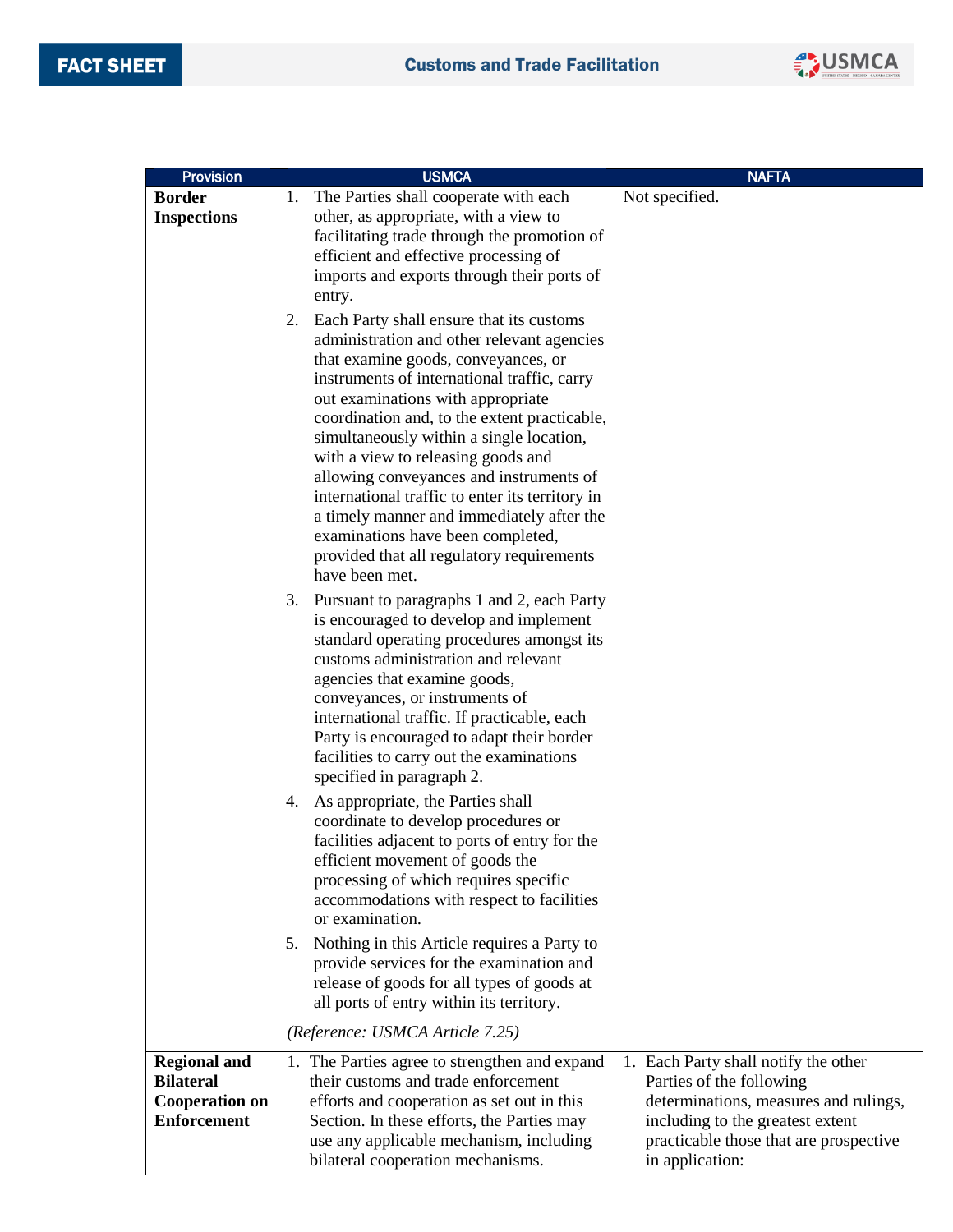

| Provision                                   | <b>USMCA</b>                                                                                 | <b>NAFTA</b>                                                              |
|---------------------------------------------|----------------------------------------------------------------------------------------------|---------------------------------------------------------------------------|
| <b>Border</b>                               | The Parties shall cooperate with each<br>1.                                                  | Not specified.                                                            |
| <b>Inspections</b>                          | other, as appropriate, with a view to                                                        |                                                                           |
|                                             | facilitating trade through the promotion of                                                  |                                                                           |
|                                             | efficient and effective processing of                                                        |                                                                           |
|                                             | imports and exports through their ports of<br>entry.                                         |                                                                           |
|                                             |                                                                                              |                                                                           |
|                                             | Each Party shall ensure that its customs<br>2.<br>administration and other relevant agencies |                                                                           |
|                                             | that examine goods, conveyances, or                                                          |                                                                           |
|                                             | instruments of international traffic, carry                                                  |                                                                           |
|                                             | out examinations with appropriate                                                            |                                                                           |
|                                             | coordination and, to the extent practicable,                                                 |                                                                           |
|                                             | simultaneously within a single location,                                                     |                                                                           |
|                                             | with a view to releasing goods and                                                           |                                                                           |
|                                             | allowing conveyances and instruments of<br>international traffic to enter its territory in   |                                                                           |
|                                             | a timely manner and immediately after the                                                    |                                                                           |
|                                             | examinations have been completed,                                                            |                                                                           |
|                                             | provided that all regulatory requirements                                                    |                                                                           |
|                                             | have been met.                                                                               |                                                                           |
|                                             | Pursuant to paragraphs 1 and 2, each Party<br>3.                                             |                                                                           |
|                                             | is encouraged to develop and implement                                                       |                                                                           |
|                                             | standard operating procedures amongst its<br>customs administration and relevant             |                                                                           |
|                                             | agencies that examine goods,                                                                 |                                                                           |
|                                             | conveyances, or instruments of                                                               |                                                                           |
|                                             | international traffic. If practicable, each                                                  |                                                                           |
|                                             | Party is encouraged to adapt their border                                                    |                                                                           |
|                                             | facilities to carry out the examinations                                                     |                                                                           |
|                                             | specified in paragraph 2.                                                                    |                                                                           |
|                                             | As appropriate, the Parties shall<br>4.                                                      |                                                                           |
|                                             | coordinate to develop procedures or<br>facilities adjacent to ports of entry for the         |                                                                           |
|                                             | efficient movement of goods the                                                              |                                                                           |
|                                             | processing of which requires specific                                                        |                                                                           |
|                                             | accommodations with respect to facilities                                                    |                                                                           |
|                                             | or examination.                                                                              |                                                                           |
|                                             | Nothing in this Article requires a Party to<br>5.                                            |                                                                           |
|                                             | provide services for the examination and                                                     |                                                                           |
|                                             | release of goods for all types of goods at<br>all ports of entry within its territory.       |                                                                           |
|                                             |                                                                                              |                                                                           |
|                                             | (Reference: USMCA Article 7.25)                                                              |                                                                           |
| <b>Regional and</b>                         | 1. The Parties agree to strengthen and expand                                                | 1. Each Party shall notify the other                                      |
| <b>Bilateral</b>                            | their customs and trade enforcement                                                          | Parties of the following                                                  |
| <b>Cooperation on</b><br><b>Enforcement</b> | efforts and cooperation as set out in this<br>Section. In these efforts, the Parties may     | determinations, measures and rulings,<br>including to the greatest extent |
|                                             | use any applicable mechanism, including                                                      | practicable those that are prospective                                    |
|                                             | bilateral cooperation mechanisms.                                                            | in application:                                                           |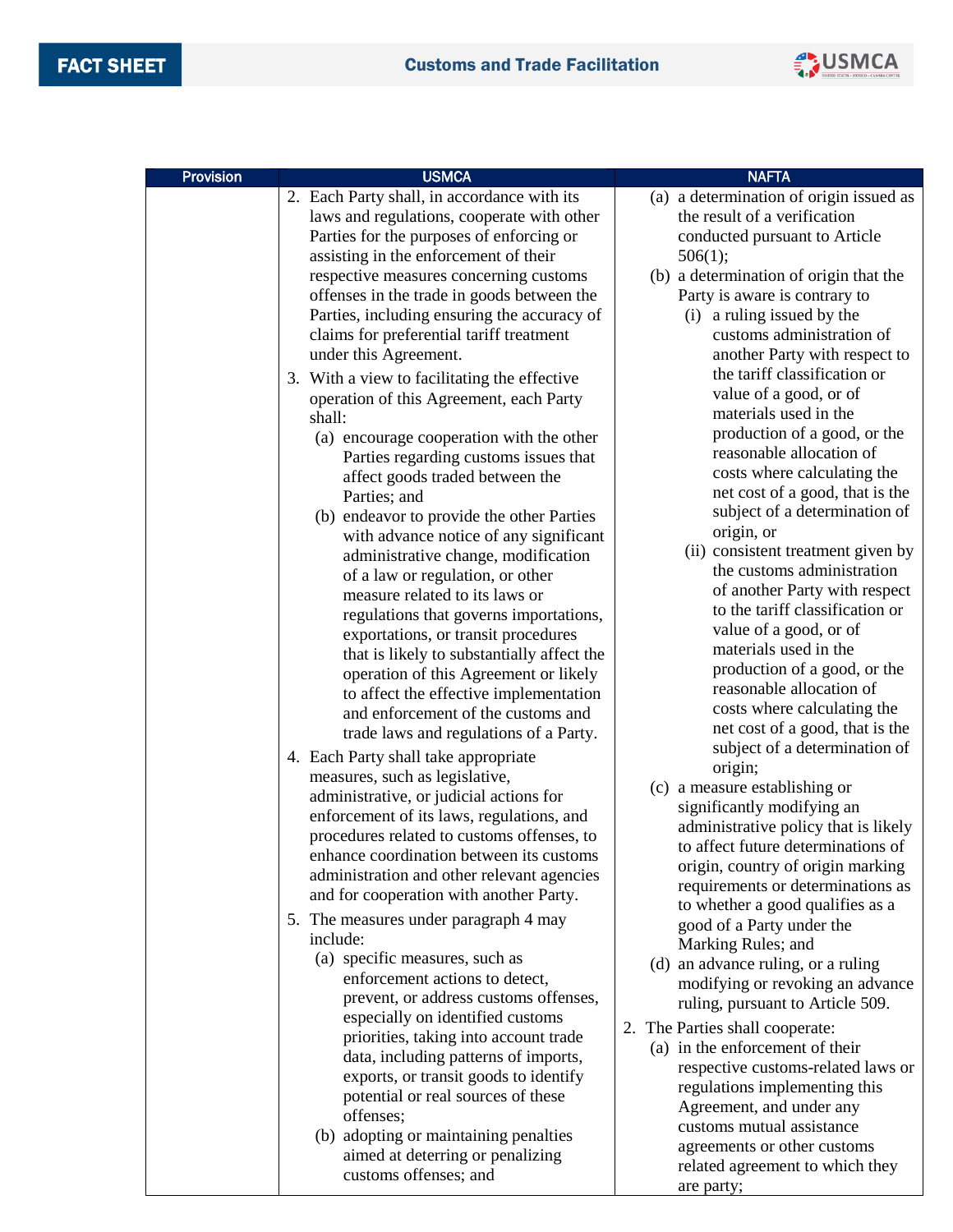

| <b>Provision</b> | <b>USMCA</b>                                                                         | <b>NAFTA</b>                                                  |
|------------------|--------------------------------------------------------------------------------------|---------------------------------------------------------------|
|                  | 2. Each Party shall, in accordance with its                                          | (a) a determination of origin issued as                       |
|                  | laws and regulations, cooperate with other                                           | the result of a verification                                  |
|                  | Parties for the purposes of enforcing or                                             | conducted pursuant to Article                                 |
|                  | assisting in the enforcement of their                                                | 506(1);                                                       |
|                  | respective measures concerning customs                                               | (b) a determination of origin that the                        |
|                  | offenses in the trade in goods between the                                           | Party is aware is contrary to                                 |
|                  | Parties, including ensuring the accuracy of                                          | (i) a ruling issued by the                                    |
|                  | claims for preferential tariff treatment                                             | customs administration of                                     |
|                  | under this Agreement.                                                                | another Party with respect to<br>the tariff classification or |
|                  | 3. With a view to facilitating the effective                                         | value of a good, or of                                        |
|                  | operation of this Agreement, each Party                                              | materials used in the                                         |
|                  | shall:                                                                               | production of a good, or the                                  |
|                  | (a) encourage cooperation with the other<br>Parties regarding customs issues that    | reasonable allocation of                                      |
|                  | affect goods traded between the                                                      | costs where calculating the                                   |
|                  | Parties; and                                                                         | net cost of a good, that is the                               |
|                  | (b) endeavor to provide the other Parties                                            | subject of a determination of                                 |
|                  | with advance notice of any significant                                               | origin, or                                                    |
|                  | administrative change, modification                                                  | (ii) consistent treatment given by                            |
|                  | of a law or regulation, or other                                                     | the customs administration                                    |
|                  | measure related to its laws or                                                       | of another Party with respect                                 |
|                  | regulations that governs importations,                                               | to the tariff classification or                               |
|                  | exportations, or transit procedures                                                  | value of a good, or of                                        |
|                  | that is likely to substantially affect the                                           | materials used in the<br>production of a good, or the         |
|                  | operation of this Agreement or likely                                                | reasonable allocation of                                      |
|                  | to affect the effective implementation                                               | costs where calculating the                                   |
|                  | and enforcement of the customs and                                                   | net cost of a good, that is the                               |
|                  | trade laws and regulations of a Party.                                               | subject of a determination of                                 |
|                  | 4. Each Party shall take appropriate                                                 | origin;                                                       |
|                  | measures, such as legislative,                                                       | (c) a measure establishing or                                 |
|                  | administrative, or judicial actions for<br>enforcement of its laws, regulations, and | significantly modifying an                                    |
|                  | procedures related to customs offenses, to                                           | administrative policy that is likely                          |
|                  | enhance coordination between its customs                                             | to affect future determinations of                            |
|                  | administration and other relevant agencies                                           | origin, country of origin marking                             |
|                  | and for cooperation with another Party.                                              | requirements or determinations as                             |
|                  | 5. The measures under paragraph 4 may                                                | to whether a good qualifies as a                              |
|                  | include:                                                                             | good of a Party under the<br>Marking Rules; and               |
|                  | (a) specific measures, such as                                                       | (d) an advance ruling, or a ruling                            |
|                  | enforcement actions to detect,                                                       | modifying or revoking an advance                              |
|                  | prevent, or address customs offenses,                                                | ruling, pursuant to Article 509.                              |
|                  | especially on identified customs                                                     | 2. The Parties shall cooperate:                               |
|                  | priorities, taking into account trade                                                | (a) in the enforcement of their                               |
|                  | data, including patterns of imports,                                                 | respective customs-related laws or                            |
|                  | exports, or transit goods to identify                                                | regulations implementing this                                 |
|                  | potential or real sources of these                                                   | Agreement, and under any                                      |
|                  | offenses;<br>(b) adopting or maintaining penalties                                   | customs mutual assistance                                     |
|                  | aimed at deterring or penalizing                                                     | agreements or other customs                                   |
|                  | customs offenses; and                                                                | related agreement to which they                               |
|                  |                                                                                      | are party;                                                    |